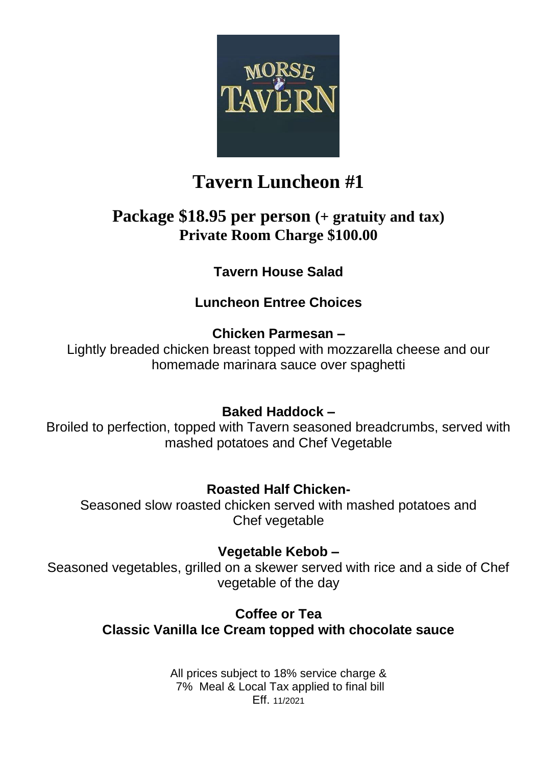

## **Tavern Luncheon #1**

## **Package \$18.95 per person (+ gratuity and tax) Private Room Charge \$100.00**

**Tavern House Salad**

## **Luncheon Entree Choices**

#### **Chicken Parmesan –**

Lightly breaded chicken breast topped with mozzarella cheese and our homemade marinara sauce over spaghetti

## **Baked Haddock –**

Broiled to perfection, topped with Tavern seasoned breadcrumbs, served with mashed potatoes and Chef Vegetable

## **Roasted Half Chicken-**

Seasoned slow roasted chicken served with mashed potatoes and Chef vegetable

## **Vegetable Kebob –**

Seasoned vegetables, grilled on a skewer served with rice and a side of Chef vegetable of the day

## **Coffee or Tea Classic Vanilla Ice Cream topped with chocolate sauce**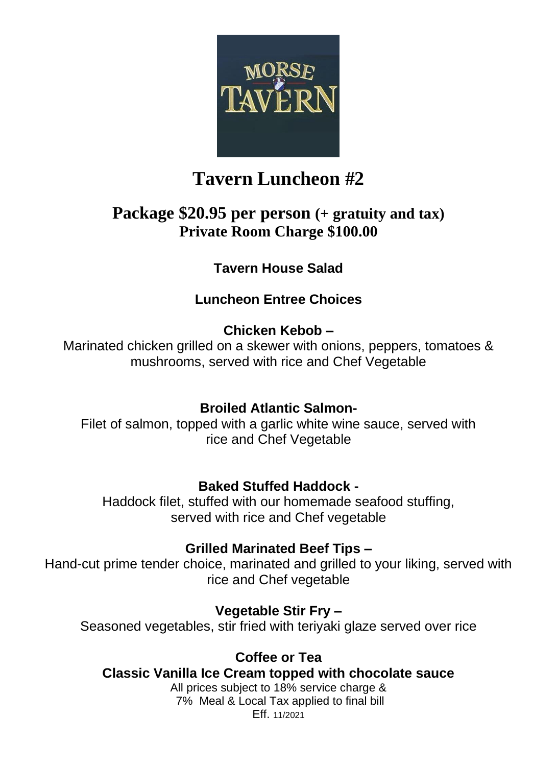

## **Tavern Luncheon #2**

## **Package \$20.95 per person (+ gratuity and tax) Private Room Charge \$100.00**

## **Tavern House Salad**

## **Luncheon Entree Choices**

## **Chicken Kebob –**

Marinated chicken grilled on a skewer with onions, peppers, tomatoes & mushrooms, served with rice and Chef Vegetable

## **Broiled Atlantic Salmon-**

Filet of salmon, topped with a garlic white wine sauce, served with rice and Chef Vegetable

## **Baked Stuffed Haddock -**

Haddock filet, stuffed with our homemade seafood stuffing, served with rice and Chef vegetable

## **Grilled Marinated Beef Tips –**

Hand-cut prime tender choice, marinated and grilled to your liking, served with rice and Chef vegetable

## **Vegetable Stir Fry –**

Seasoned vegetables, stir fried with teriyaki glaze served over rice

## **Coffee or Tea**

#### **Classic Vanilla Ice Cream topped with chocolate sauce**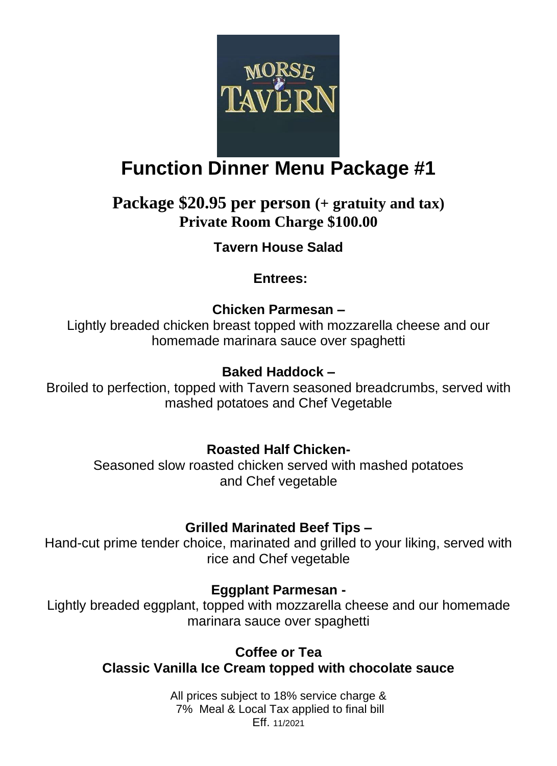

## **Function Dinner Menu Package #1**

## **Package \$20.95 per person (+ gratuity and tax) Private Room Charge \$100.00**

## **Tavern House Salad**

#### **Entrees:**

#### **Chicken Parmesan –**

Lightly breaded chicken breast topped with mozzarella cheese and our homemade marinara sauce over spaghetti

#### **Baked Haddock –**

Broiled to perfection, topped with Tavern seasoned breadcrumbs, served with mashed potatoes and Chef Vegetable

#### **Roasted Half Chicken-**

Seasoned slow roasted chicken served with mashed potatoes and Chef vegetable

#### **Grilled Marinated Beef Tips –**

Hand-cut prime tender choice, marinated and grilled to your liking, served with rice and Chef vegetable

#### **Eggplant Parmesan -**

Lightly breaded eggplant, topped with mozzarella cheese and our homemade marinara sauce over spaghetti

#### **Coffee or Tea Classic Vanilla Ice Cream topped with chocolate sauce**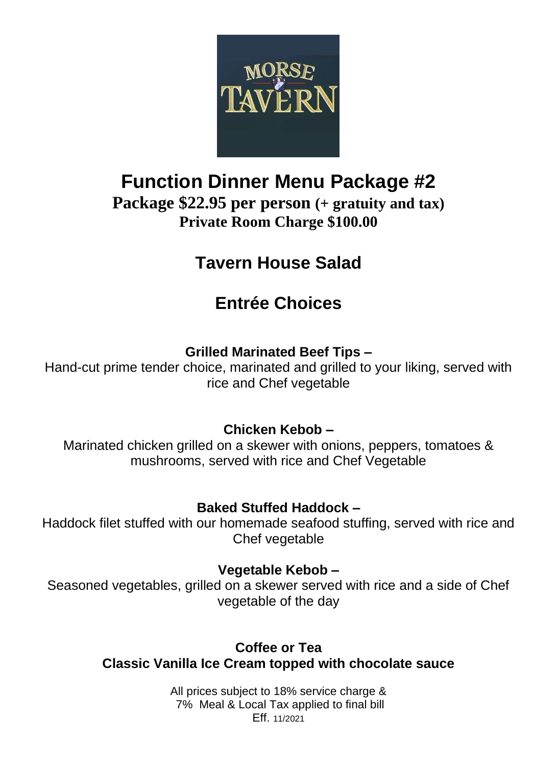

## **Function Dinner Menu Package #2 Package \$22.95 per person (+ gratuity and tax) Private Room Charge \$100.00**

## **Tavern House Salad**

## **Entrée Choices**

## **Grilled Marinated Beef Tips –**

Hand-cut prime tender choice, marinated and grilled to your liking, served with rice and Chef vegetable

## **Chicken Kebob –**

Marinated chicken grilled on a skewer with onions, peppers, tomatoes & mushrooms, served with rice and Chef Vegetable

## **Baked Stuffed Haddock –**

Haddock filet stuffed with our homemade seafood stuffing, served with rice and Chef vegetable

## **Vegetable Kebob –**

Seasoned vegetables, grilled on a skewer served with rice and a side of Chef vegetable of the day

## **Coffee or Tea Classic Vanilla Ice Cream topped with chocolate sauce**